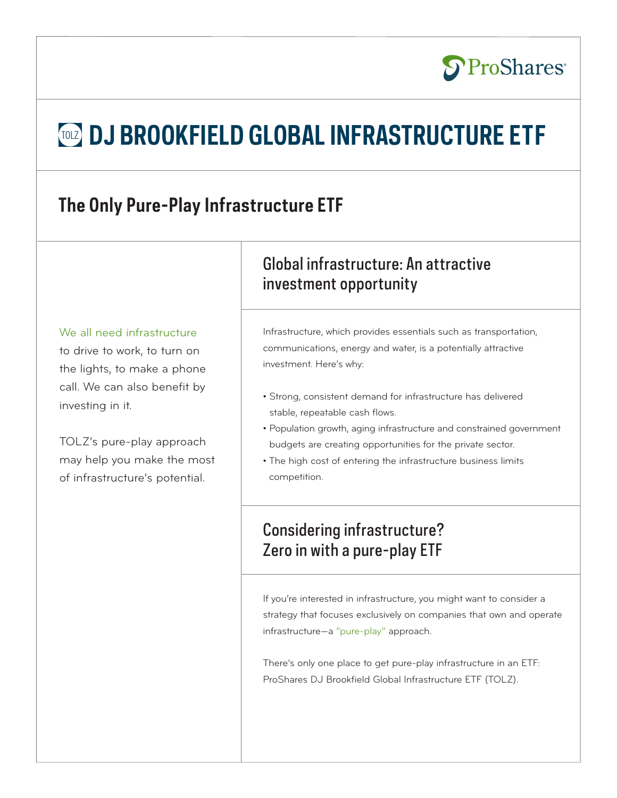# **TOLZ DJ BROOKFIELD GLOBAL INFRASTRUCTURE ETF**

## **The Only Pure-Play Infrastructure ETF**

#### We all need infrastructure

to drive to work, to turn on the lights, to make a phone call. We can also benefit by investing in it.

TOLZ's pure-play approach may help you make the most of infrastructure's potential.

### Global infrastructure: An attractive investment opportunity

Infrastructure, which provides essentials such as transportation, communications, energy and water, is a potentially attractive investment. Here's why:

**S**ProShares®

- Strong, consistent demand for infrastructure has delivered stable, repeatable cash flows.
- Population growth, aging infrastructure and constrained government budgets are creating opportunities for the private sector.
- The high cost of entering the infrastructure business limits competition.

### Considering infrastructure? Zero in with a pure-play ETF

If you're interested in infrastructure, you might want to consider a strategy that focuses exclusively on companies that own and operate infrastructure—a "pure-play" approach.

There's only one place to get pure-play infrastructure in an ETF: ProShares DJ Brookfield Global Infrastructure ETF (TOLZ).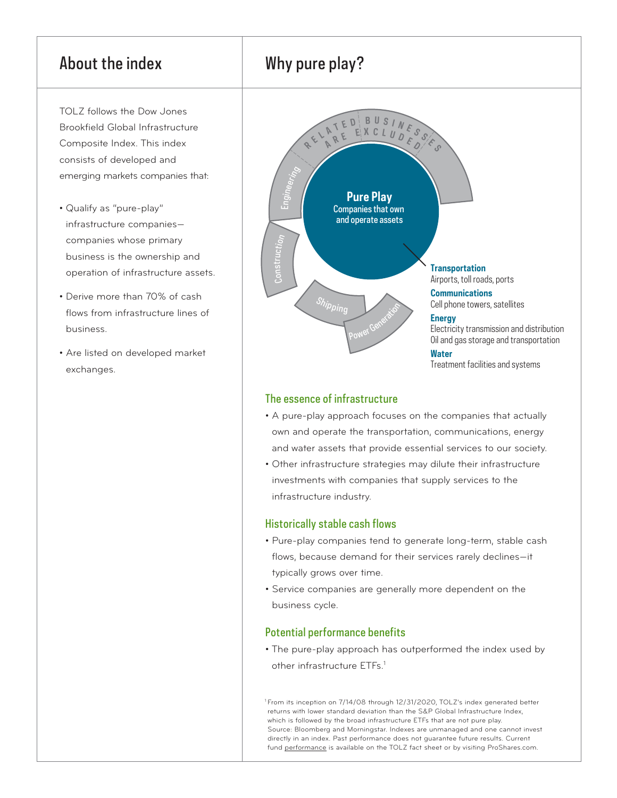### About the index

TOLZ follows the Dow Jones Brookfield Global Infrastructure Composite Index. This index consists of developed and emerging markets companies that:

- Qualify as "pure-play" infrastructure companies companies whose primary business is the ownership and operation of infrastructure assets.
- Derive more than 70% of cash flows from infrastructure lines of business.
- Are listed on developed market exchanges.





#### The essence of infrastructure

- A pure-play approach focuses on the companies that actually own and operate the transportation, communications, energy and water assets that provide essential services to our society.
- Other infrastructure strategies may dilute their infrastructure investments with companies that supply services to the infrastructure industry.

#### Historically stable cash flows

- Pure-play companies tend to generate long-term, stable cash flows, because demand for their services rarely declines—it typically grows over time.
- Service companies are generally more dependent on the business cycle.

#### Potential performance benefits

• The pure-play approach has outperformed the index used by other infrastructure ETFs.<sup>1</sup>

<sup>1</sup> From its inception on 7/14/08 through 12/31/2020, TOLZ's index generated better returns with lower standard deviation than the S&P Global Infrastructure Index, which is followed by the broad infrastructure ETFs that are not pure play. Source: Bloomberg and Morningstar. Indexes are unmanaged and one cannot invest directly in an index. Past performance does not guarantee future results. Current fund [performance](http://www.proshares.com/media/fact_sheet/ProSharesFactSheetTOLZ.pdf) is available on the TOLZ fact sheet or by visiting ProShares.com.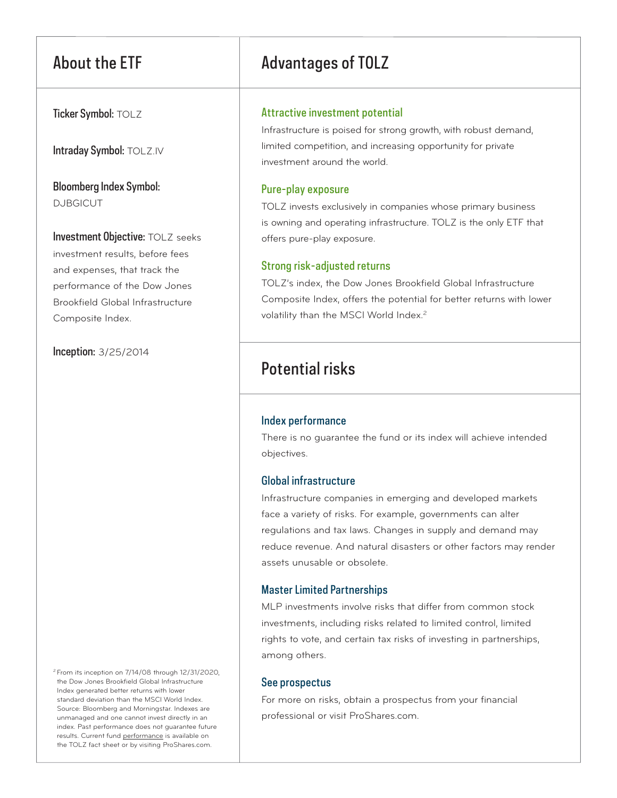Ticker Symbol: TOLZ

Intraday Symbol: TOLZ.IV

Bloomberg Index Symbol: DJBGICUT

Investment Objective: TOLZ seeks investment results, before fees and expenses, that track the performance of the Dow Jones Brookfield Global Infrastructure Composite Index.

Inception: 3/25/2014

2 From its inception on 7/14/08 through 12/31/2020, the Dow Jones Brookfield Global Infrastructure Index generated better returns with lower standard deviation than the MSCI World Index. Source: Bloomberg and Morningstar. Indexes are unmanaged and one cannot invest directly in an index. Past performance does not guarantee future results. Current fund [performance](http://www.proshares.com/media/fact_sheet/ProSharesFactSheetTOLZ.pdf) is available on the TOLZ fact sheet or by visiting ProShares.com.

### About the ETF Advantages of TOLZ

#### Attractive investment potential

Infrastructure is poised for strong growth, with robust demand, limited competition, and increasing opportunity for private investment around the world.

#### Pure-play exposure

TOLZ invests exclusively in companies whose primary business is owning and operating infrastructure. TOLZ is the only ETF that offers pure-play exposure.

#### Strong risk-adjusted returns

TOLZ's index, the Dow Jones Brookfield Global Infrastructure Composite Index, offers the potential for better returns with lower volatility than the MSCI World Index.<sup>2</sup>

### Potential risks

#### Index performance

There is no guarantee the fund or its index will achieve intended objectives.

#### Global infrastructure

Infrastructure companies in emerging and developed markets face a variety of risks. For example, governments can alter regulations and tax laws. Changes in supply and demand may reduce revenue. And natural disasters or other factors may render assets unusable or obsolete.

### Master Limited Partnerships

MLP investments involve risks that differ from common stock investments, including risks related to limited control, limited rights to vote, and certain tax risks of investing in partnerships, among others.

#### See prospectus

For more on risks, obtain a prospectus from your financial professional or visit ProShares.com.